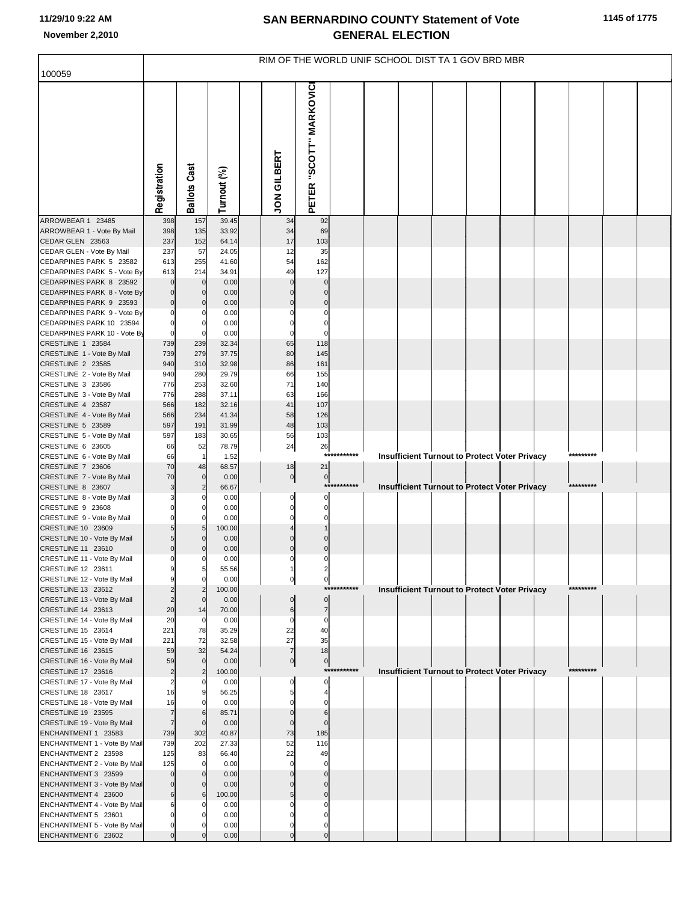|                                                         | RIM OF THE WORLD UNIF SCHOOL DIST TA 1 GOV BRD MBR |                                  |                |  |                         |                         |             |  |                                                      |  |  |  |  |           |  |  |
|---------------------------------------------------------|----------------------------------------------------|----------------------------------|----------------|--|-------------------------|-------------------------|-------------|--|------------------------------------------------------|--|--|--|--|-----------|--|--|
| 100059                                                  |                                                    |                                  |                |  |                         |                         |             |  |                                                      |  |  |  |  |           |  |  |
|                                                         | Registration                                       | <b>Ballots Cast</b>              | Turnout (%)    |  | <b>JON GILBERT</b>      | PETER "SCOTT" MARKOVIC  |             |  |                                                      |  |  |  |  |           |  |  |
| ARROWBEAR 1 23485                                       | 398                                                | 157                              | 39.45          |  | 34                      | 92                      |             |  |                                                      |  |  |  |  |           |  |  |
| ARROWBEAR 1 - Vote By Mail                              | 398                                                | 135                              | 33.92          |  | 34<br>17                | 69                      |             |  |                                                      |  |  |  |  |           |  |  |
| CEDAR GLEN 23563<br>CEDAR GLEN - Vote By Mail           | 237<br>237                                         | 152<br>57                        | 64.14<br>24.05 |  | 12                      | 103<br>35               |             |  |                                                      |  |  |  |  |           |  |  |
| CEDARPINES PARK 5 23582                                 | 613                                                | 255                              | 41.60          |  | 54                      | 162                     |             |  |                                                      |  |  |  |  |           |  |  |
| CEDARPINES PARK 5 - Vote By                             | 613                                                | 214                              | 34.91          |  | 49                      | 127                     |             |  |                                                      |  |  |  |  |           |  |  |
| CEDARPINES PARK 8 23592                                 | $\bf 0$                                            | $\mathbf 0$                      | 0.00           |  | $\Omega$                | 0                       |             |  |                                                      |  |  |  |  |           |  |  |
| CEDARPINES PARK 8 - Vote By                             | $\mathbf 0$                                        | $\mathbf 0$                      | 0.00           |  | C                       | $\Omega$                |             |  |                                                      |  |  |  |  |           |  |  |
| CEDARPINES PARK 9 23593                                 | $\bf 0$                                            | $\mathbf 0$                      | 0.00           |  | $\Omega$                | $\mathbf 0$             |             |  |                                                      |  |  |  |  |           |  |  |
| CEDARPINES PARK 9 - Vote By<br>CEDARPINES PARK 10 23594 | $\mathbf 0$<br>$\mathbf 0$                         | 0<br>$\mathbf 0$                 | 0.00<br>0.00   |  | $\mathcal{C}$           | 0<br>0                  |             |  |                                                      |  |  |  |  |           |  |  |
| CEDARPINES PARK 10 - Vote By                            | $\mathbf 0$                                        | $\Omega$                         | 0.00           |  |                         | $\Omega$                |             |  |                                                      |  |  |  |  |           |  |  |
| CRESTLINE 1 23584                                       | 739                                                | 239                              | 32.34          |  | 65                      | 118                     |             |  |                                                      |  |  |  |  |           |  |  |
| CRESTLINE 1 - Vote By Mail                              | 739                                                | 279                              | 37.75          |  | 80                      | 145                     |             |  |                                                      |  |  |  |  |           |  |  |
| CRESTLINE 2 23585                                       | 940                                                | 310                              | 32.98          |  | 86                      | 161                     |             |  |                                                      |  |  |  |  |           |  |  |
| CRESTLINE 2 - Vote By Mail                              | 940                                                | 280                              | 29.79          |  | 66                      | 155                     |             |  |                                                      |  |  |  |  |           |  |  |
| CRESTLINE 3 23586<br>CRESTLINE 3 - Vote By Mail         | 776<br>776                                         | 253<br>288                       | 32.60<br>37.11 |  | 71<br>63                | 140<br>166              |             |  |                                                      |  |  |  |  |           |  |  |
| CRESTLINE 4 23587                                       | 566                                                | 182                              | 32.16          |  | 41                      | 107                     |             |  |                                                      |  |  |  |  |           |  |  |
| CRESTLINE 4 - Vote By Mail                              | 566                                                | 234                              | 41.34          |  | 58                      | 126                     |             |  |                                                      |  |  |  |  |           |  |  |
| CRESTLINE 5 23589                                       | 597                                                | 191                              | 31.99          |  | 48                      | 103                     |             |  |                                                      |  |  |  |  |           |  |  |
| CRESTLINE 5 - Vote By Mail                              | 597                                                | 183                              | 30.65          |  | 56                      | 103                     |             |  |                                                      |  |  |  |  |           |  |  |
| CRESTLINE 6 23605                                       | 66<br>66                                           | 52                               | 78.79          |  | 24                      | 26<br>$***$             | *******     |  |                                                      |  |  |  |  | ********* |  |  |
| CRESTLINE 6 - Vote By Mail<br>CRESTLINE 7 23606         | 70                                                 | 1<br>48                          | 1.52<br>68.57  |  | 18                      | 21                      |             |  | <b>Insufficient Turnout to Protect Voter Privacy</b> |  |  |  |  |           |  |  |
| CRESTLINE 7 - Vote By Mail                              | 70                                                 | $\overline{0}$                   | 0.00           |  | $\overline{0}$          | $\circ$                 |             |  |                                                      |  |  |  |  |           |  |  |
| CRESTLINE 8 23607                                       | 3                                                  | $\overline{2}$                   | 66.67          |  |                         | ***                     | ********    |  | Insufficient Turnout to Protect Voter Privacy        |  |  |  |  | ********  |  |  |
| CRESTLINE 8 - Vote By Mail                              | 3                                                  | 0                                | 0.00           |  | 0                       | 0                       |             |  |                                                      |  |  |  |  |           |  |  |
| CRESTLINE 9 23608                                       | $\mathbf 0$<br>$\Omega$                            | $\mathbf 0$                      | 0.00           |  | $\Omega$                | $\Omega$                |             |  |                                                      |  |  |  |  |           |  |  |
| CRESTLINE 9 - Vote By Mail<br>CRESTLINE 10 23609        | 5                                                  | $\mathbf 0$<br>5                 | 0.00<br>100.00 |  |                         |                         |             |  |                                                      |  |  |  |  |           |  |  |
| CRESTLINE 10 - Vote By Mail                             | 5                                                  | $\mathbf 0$                      | 0.00           |  |                         |                         |             |  |                                                      |  |  |  |  |           |  |  |
| CRESTLINE 11 23610                                      | $\mathbf 0$                                        | $\overline{0}$                   | 0.00           |  | $\Omega$                | $\Omega$                |             |  |                                                      |  |  |  |  |           |  |  |
| CRESTLINE 11 - Vote By Mail                             | $\mathbf 0$                                        | $\mathbf 0$                      | 0.00           |  | 0                       | 0                       |             |  |                                                      |  |  |  |  |           |  |  |
| CRESTLINE 12 23611                                      | 9                                                  | 5                                | 55.56          |  |                         |                         |             |  |                                                      |  |  |  |  |           |  |  |
| CRESTLINE 12 - Vote By Mail<br>CRESTLINE 13 23612       | 9<br>$\overline{2}$                                | $\overline{0}$<br>$\overline{2}$ | 0.00<br>100.00 |  | $\overline{0}$          | $\overline{0}$          | *********** |  | <b>Insufficient Turnout to Protect Voter Privacy</b> |  |  |  |  | ********* |  |  |
| CRESTLINE 13 - Vote By Mail                             | $\overline{2}$                                     | $\mathbf 0$                      | 0.00           |  | $\mathbf{0}$            | $\overline{0}$          |             |  |                                                      |  |  |  |  |           |  |  |
| CRESTLINE 14 23613                                      | 20                                                 | 14                               | 70.00          |  | 6                       | $\overline{7}$          |             |  |                                                      |  |  |  |  |           |  |  |
| CRESTLINE 14 - Vote By Mail                             | 20                                                 | $\mathbf 0$                      | 0.00           |  | $\mathbf 0$             | $\mathbf 0$             |             |  |                                                      |  |  |  |  |           |  |  |
| CRESTLINE 15 23614                                      | 221                                                | 78                               | 35.29          |  | 22<br>27                | 40                      |             |  |                                                      |  |  |  |  |           |  |  |
| CRESTLINE 15 - Vote By Mail<br>CRESTLINE 16 23615       | 221<br>59                                          | 72<br>32                         | 32.58<br>54.24 |  | $\overline{7}$          | 35<br>18                |             |  |                                                      |  |  |  |  |           |  |  |
| CRESTLINE 16 - Vote By Mail                             | 59                                                 | $\overline{0}$                   | 0.00           |  | $\overline{0}$          | $\circ$                 |             |  |                                                      |  |  |  |  |           |  |  |
| CRESTLINE 17 23616                                      | $\overline{\mathbf{c}}$                            | 2                                | 100.00         |  |                         |                         | *********** |  | <b>Insufficient Turnout to Protect Voter Privacy</b> |  |  |  |  | ********* |  |  |
| CRESTLINE 17 - Vote By Mail                             | $\overline{\mathbf{c}}$                            | $\mathbf 0$                      | 0.00           |  | $\mathbf 0$             | 0                       |             |  |                                                      |  |  |  |  |           |  |  |
| CRESTLINE 18 23617                                      | 16                                                 | 9                                | 56.25          |  |                         | $\overline{4}$          |             |  |                                                      |  |  |  |  |           |  |  |
| CRESTLINE 18 - Vote By Mail<br>CRESTLINE 19 23595       | 16<br>$\overline{7}$                               | $\Omega$<br>6                    | 0.00<br>85.71  |  | $\Omega$                | $\Omega$<br>6           |             |  |                                                      |  |  |  |  |           |  |  |
| CRESTLINE 19 - Vote By Mail                             | $\overline{7}$                                     | $\mathbf 0$                      | 0.00           |  | $\Omega$                | $\Omega$                |             |  |                                                      |  |  |  |  |           |  |  |
| ENCHANTMENT 1 23583                                     | 739                                                | 302                              | 40.87          |  | 73                      | 185                     |             |  |                                                      |  |  |  |  |           |  |  |
| ENCHANTMENT 1 - Vote By Mail                            | 739                                                | 202                              | 27.33          |  | 52                      | 116                     |             |  |                                                      |  |  |  |  |           |  |  |
| ENCHANTMENT 2 23598                                     | 125                                                | 83                               | 66.40          |  | 22                      | 49                      |             |  |                                                      |  |  |  |  |           |  |  |
| ENCHANTMENT 2 - Vote By Mail                            | 125<br>$\mathbf 0$                                 | $\Omega$<br>$\overline{0}$       | 0.00<br>0.00   |  | $\mathbf 0$<br>$\Omega$ | $\mathbf 0$<br>$\Omega$ |             |  |                                                      |  |  |  |  |           |  |  |
| ENCHANTMENT 3 23599<br>ENCHANTMENT 3 - Vote By Mail     | $\mathbf 0$                                        | $\overline{0}$                   | 0.00           |  | $\mathcal{C}$           | $\Omega$                |             |  |                                                      |  |  |  |  |           |  |  |
| ENCHANTMENT 4 23600                                     | $\,$ 6                                             | $6 \mid$                         | 100.00         |  | 5                       | $\mathbf 0$             |             |  |                                                      |  |  |  |  |           |  |  |
| ENCHANTMENT 4 - Vote By Mail                            | 6                                                  | 0                                | 0.00           |  | $\mathcal{C}$           | 0                       |             |  |                                                      |  |  |  |  |           |  |  |
| ENCHANTMENT 5 23601                                     | $\mathbf 0$                                        | $\mathbf 0$                      | 0.00           |  | $\mathcal{C}$           | $\Omega$                |             |  |                                                      |  |  |  |  |           |  |  |
| ENCHANTMENT 5 - Vote By Mail                            | $\mathbf 0$                                        | $\mathbf 0$                      | 0.00           |  | C                       | $\Omega$                |             |  |                                                      |  |  |  |  |           |  |  |
| ENCHANTMENT 6 23602                                     | $\Omega$                                           |                                  | 0.00           |  | $\mathcal{C}$           | $\Omega$                |             |  |                                                      |  |  |  |  |           |  |  |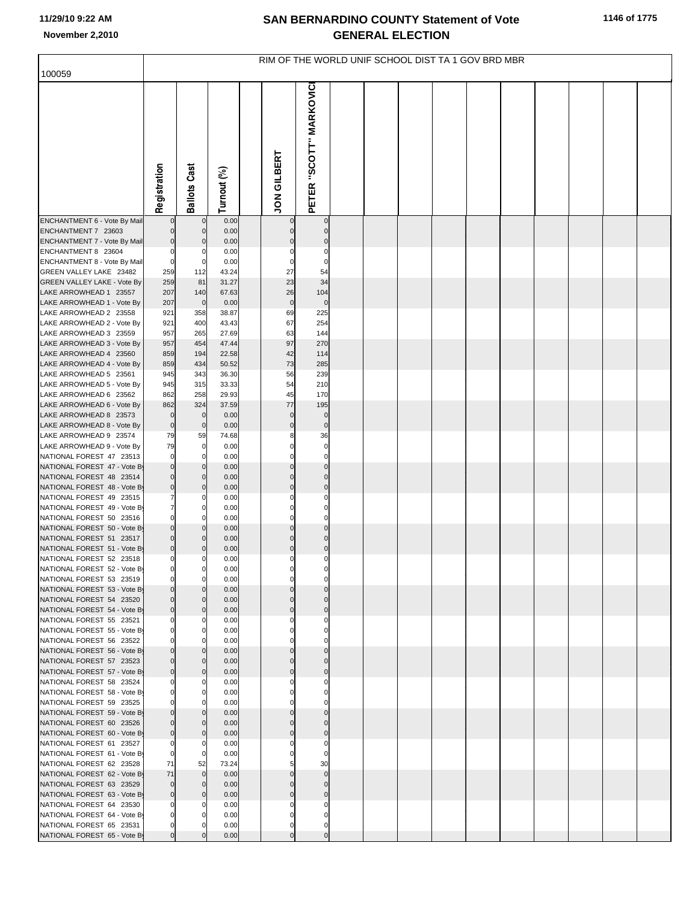|                                                          | RIM OF THE WORLD UNIF SCHOOL DIST TA 1 GOV BRD MBR |                      |                |  |                    |                        |  |  |  |  |  |  |  |  |  |  |
|----------------------------------------------------------|----------------------------------------------------|----------------------|----------------|--|--------------------|------------------------|--|--|--|--|--|--|--|--|--|--|
| 100059                                                   |                                                    |                      |                |  |                    |                        |  |  |  |  |  |  |  |  |  |  |
|                                                          | Registration                                       | <b>Ballots Cast</b>  | Turnout (%)    |  | <b>JON GILBERT</b> | PETER "SCOTT" MARKOVIC |  |  |  |  |  |  |  |  |  |  |
| ENCHANTMENT 6 - Vote By Mail                             |                                                    | $\mathbf 0$          | 0.00           |  |                    | $\mathbf 0$            |  |  |  |  |  |  |  |  |  |  |
| ENCHANTMENT 7 23603                                      |                                                    | $\mathbf 0$          | 0.00           |  |                    | $\Omega$               |  |  |  |  |  |  |  |  |  |  |
| ENCHANTMENT 7 - Vote By Mail<br>ENCHANTMENT 8 23604      | $\mathbf 0$<br>$\mathbf 0$                         | $\Omega$             | 0.00<br>0.00   |  |                    | C                      |  |  |  |  |  |  |  |  |  |  |
| ENCHANTMENT 8 - Vote By Mail                             | $\mathbf 0$                                        | $\mathbf 0$          | 0.00           |  | $\Omega$           | $\mathsf{C}$           |  |  |  |  |  |  |  |  |  |  |
| GREEN VALLEY LAKE 23482                                  | 259                                                | 112                  | 43.24          |  | 27                 | 54                     |  |  |  |  |  |  |  |  |  |  |
| GREEN VALLEY LAKE - Vote By                              | 259                                                | 81                   | 31.27          |  | 23                 | 34                     |  |  |  |  |  |  |  |  |  |  |
| LAKE ARROWHEAD 1 23557                                   | 207                                                | 140                  | 67.63          |  | 26                 | 104                    |  |  |  |  |  |  |  |  |  |  |
| LAKE ARROWHEAD 1 - Vote By                               | 207                                                | $\mathbf 0$          | 0.00           |  | $\mathbf 0$        | $\mathbf 0$            |  |  |  |  |  |  |  |  |  |  |
| LAKE ARROWHEAD 2 23558<br>LAKE ARROWHEAD 2 - Vote By     | 921<br>921                                         | 358<br>400           | 38.87<br>43.43 |  | 69<br>67           | 225<br>254             |  |  |  |  |  |  |  |  |  |  |
| LAKE ARROWHEAD 3 23559                                   | 957                                                | 265                  | 27.69          |  | 63                 | 144                    |  |  |  |  |  |  |  |  |  |  |
| LAKE ARROWHEAD 3 - Vote By                               | 957                                                | 454                  | 47.44          |  | 97                 | 270                    |  |  |  |  |  |  |  |  |  |  |
| LAKE ARROWHEAD 4 23560                                   | 859                                                | 194                  | 22.58          |  | 42                 | 114                    |  |  |  |  |  |  |  |  |  |  |
| LAKE ARROWHEAD 4 - Vote By                               | 859                                                | 434                  | 50.52          |  | 73                 | 285                    |  |  |  |  |  |  |  |  |  |  |
| LAKE ARROWHEAD 5 23561                                   | 945                                                | 343                  | 36.30          |  | 56                 | 239                    |  |  |  |  |  |  |  |  |  |  |
| LAKE ARROWHEAD 5 - Vote By<br>LAKE ARROWHEAD 6 23562     | 945<br>862                                         | 315<br>258           | 33.33<br>29.93 |  | 54<br>45           | 210<br>170             |  |  |  |  |  |  |  |  |  |  |
| LAKE ARROWHEAD 6 - Vote By                               | 862                                                | 324                  | 37.59          |  | 77                 | 195                    |  |  |  |  |  |  |  |  |  |  |
| LAKE ARROWHEAD 8 23573                                   | $\mathbf 0$                                        | $\mathbf 0$          | 0.00           |  | $\mathbf{0}$       | $\mathbf 0$            |  |  |  |  |  |  |  |  |  |  |
| LAKE ARROWHEAD 8 - Vote By                               | $\bf 0$                                            | $\mathbf 0$          | 0.00           |  | $\Omega$           | $\mathbf 0$            |  |  |  |  |  |  |  |  |  |  |
| LAKE ARROWHEAD 9 23574                                   | 79                                                 | 59                   | 74.68          |  |                    | 36                     |  |  |  |  |  |  |  |  |  |  |
| LAKE ARROWHEAD 9 - Vote By                               | 79<br>$\mathbf 0$                                  | 0<br>$\Omega$        | 0.00           |  |                    | $\Omega$<br>C          |  |  |  |  |  |  |  |  |  |  |
| NATIONAL FOREST 47 23513<br>NATIONAL FOREST 47 - Vote By | $\overline{0}$                                     | $\Omega$             | 0.00<br>0.00   |  | C                  | $\mathsf{C}$           |  |  |  |  |  |  |  |  |  |  |
| NATIONAL FOREST 48 23514                                 | $\mathbf 0$                                        | $\mathbf 0$          | 0.00           |  |                    | $\sqrt{ }$             |  |  |  |  |  |  |  |  |  |  |
| NATIONAL FOREST 48 - Vote By                             | $\mathbf 0$                                        | $\Omega$             | 0.00           |  | C                  | $\mathsf{C}$           |  |  |  |  |  |  |  |  |  |  |
| NATIONAL FOREST 49 23515                                 | 7                                                  | -0                   | 0.00           |  |                    |                        |  |  |  |  |  |  |  |  |  |  |
| NATIONAL FOREST 49 - Vote By                             | 7                                                  | $\Omega$             | 0.00           |  |                    |                        |  |  |  |  |  |  |  |  |  |  |
| NATIONAL FOREST 50 23516<br>NATIONAL FOREST 50 - Vote By | $\Omega$<br>$\mathbf{0}$                           | O<br>$\Omega$        | 0.00<br>0.00   |  |                    |                        |  |  |  |  |  |  |  |  |  |  |
| NATIONAL FOREST 51 23517                                 | $\Omega$                                           | $\Omega$             | 0.00           |  |                    |                        |  |  |  |  |  |  |  |  |  |  |
| NATIONAL FOREST 51 - Vote By                             | $\mathbf 0$                                        | $\Omega$             | 0.00           |  |                    | $\Omega$               |  |  |  |  |  |  |  |  |  |  |
| NATIONAL FOREST 52 23518                                 | $\mathbf 0$                                        | O                    | 0.00           |  | C                  | $\Omega$               |  |  |  |  |  |  |  |  |  |  |
| NATIONAL FOREST 52 - Vote By                             |                                                    |                      | 0.00           |  |                    |                        |  |  |  |  |  |  |  |  |  |  |
| NATIONAL FOREST 53 23519<br>NATIONAL FOREST 53 - Vote By | $\Omega$                                           | $\Omega$             | 0.00           |  |                    |                        |  |  |  |  |  |  |  |  |  |  |
| NATIONAL FOREST 54 23520                                 |                                                    | $\Omega$             | 0.00<br>0.00   |  |                    |                        |  |  |  |  |  |  |  |  |  |  |
| NATIONAL FOREST 54 - Vote By                             | $\mathbf{0}$                                       | $\Omega$             | 0.00           |  |                    |                        |  |  |  |  |  |  |  |  |  |  |
| NATIONAL FOREST 55 23521                                 |                                                    |                      | 0.00           |  |                    |                        |  |  |  |  |  |  |  |  |  |  |
| NATIONAL FOREST 55 - Vote By                             | $\Omega$                                           | $\Omega$             | 0.00           |  |                    |                        |  |  |  |  |  |  |  |  |  |  |
| NATIONAL FOREST 56 23522                                 | $\Omega$                                           |                      | 0.00           |  |                    |                        |  |  |  |  |  |  |  |  |  |  |
| NATIONAL FOREST 56 - Vote By<br>NATIONAL FOREST 57 23523 |                                                    | $\Omega$<br>$\Omega$ | 0.00<br>0.00   |  |                    |                        |  |  |  |  |  |  |  |  |  |  |
| NATIONAL FOREST 57 - Vote By                             | $\Omega$                                           | $\Omega$             | 0.00           |  |                    |                        |  |  |  |  |  |  |  |  |  |  |
| NATIONAL FOREST 58 23524                                 |                                                    |                      | 0.00           |  |                    |                        |  |  |  |  |  |  |  |  |  |  |
| NATIONAL FOREST 58 - Vote By                             | $\Omega$                                           | O                    | 0.00           |  |                    |                        |  |  |  |  |  |  |  |  |  |  |
| NATIONAL FOREST 59 23525                                 |                                                    |                      | 0.00           |  |                    |                        |  |  |  |  |  |  |  |  |  |  |
| NATIONAL FOREST 59 - Vote By<br>NATIONAL FOREST 60 23526 |                                                    | $\Omega$<br>$\Omega$ | 0.00<br>0.00   |  |                    |                        |  |  |  |  |  |  |  |  |  |  |
| NATIONAL FOREST 60 - Vote By                             | $\Omega$                                           | $\Omega$             | 0.00           |  |                    | $\sqrt{ }$             |  |  |  |  |  |  |  |  |  |  |
| NATIONAL FOREST 61 23527                                 | $\Omega$                                           | n                    | 0.00           |  |                    |                        |  |  |  |  |  |  |  |  |  |  |
| NATIONAL FOREST 61 - Vote By                             | $\Omega$                                           | $\Omega$             | 0.00           |  |                    |                        |  |  |  |  |  |  |  |  |  |  |
| NATIONAL FOREST 62 23528                                 | 71                                                 | 52                   | 73.24          |  |                    | 30                     |  |  |  |  |  |  |  |  |  |  |
| NATIONAL FOREST 62 - Vote By<br>NATIONAL FOREST 63 23529 | 71<br>$\Omega$                                     | $\Omega$<br>$\Omega$ | 0.00<br>0.00   |  |                    | $\Omega$               |  |  |  |  |  |  |  |  |  |  |
| NATIONAL FOREST 63 - Vote By                             | $\mathbf 0$                                        | $\Omega$             | 0.00           |  |                    |                        |  |  |  |  |  |  |  |  |  |  |
| NATIONAL FOREST 64 23530                                 |                                                    |                      | 0.00           |  |                    |                        |  |  |  |  |  |  |  |  |  |  |
| NATIONAL FOREST 64 - Vote By                             |                                                    |                      | 0.00           |  |                    |                        |  |  |  |  |  |  |  |  |  |  |
| NATIONAL FOREST 65 23531                                 |                                                    |                      | 0.00           |  |                    |                        |  |  |  |  |  |  |  |  |  |  |
| NATIONAL FOREST 65 - Vote By                             |                                                    |                      | 0.00           |  |                    | $\sqrt{ }$             |  |  |  |  |  |  |  |  |  |  |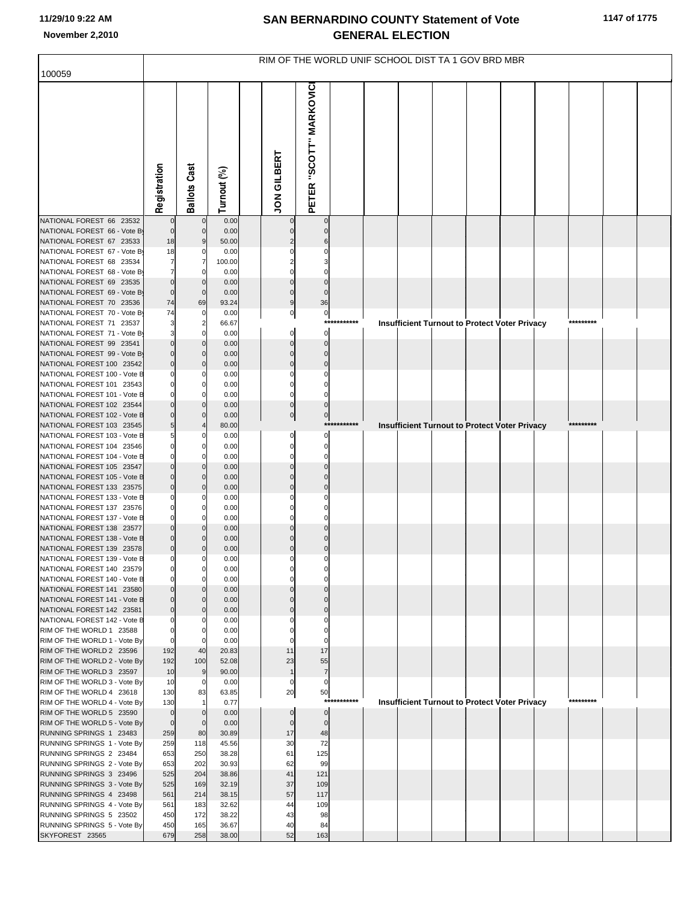|                                                           | RIM OF THE WORLD UNIF SCHOOL DIST TA 1 GOV BRD MBR |                     |                |  |                      |                        |               |  |  |  |  |                                                      |  |           |  |  |
|-----------------------------------------------------------|----------------------------------------------------|---------------------|----------------|--|----------------------|------------------------|---------------|--|--|--|--|------------------------------------------------------|--|-----------|--|--|
| 100059                                                    |                                                    |                     |                |  |                      |                        |               |  |  |  |  |                                                      |  |           |  |  |
|                                                           | Registration                                       | <b>Ballots Cast</b> | Turnout (%)    |  | <b>JON GILBERT</b>   | PETER "SCOTT" MARKOVIC |               |  |  |  |  |                                                      |  |           |  |  |
|                                                           |                                                    |                     | 0.00           |  |                      | $\Omega$               |               |  |  |  |  |                                                      |  |           |  |  |
| NATIONAL FOREST 66 23532<br>NATIONAL FOREST 66 - Vote By  | $\mathbf 0$                                        | $\mathbf 0$         | 0.00           |  |                      |                        |               |  |  |  |  |                                                      |  |           |  |  |
| NATIONAL FOREST 67 23533                                  | 18                                                 |                     | 50.00          |  |                      |                        |               |  |  |  |  |                                                      |  |           |  |  |
| NATIONAL FOREST 67 - Vote By                              | 18                                                 |                     | 0.00           |  |                      |                        |               |  |  |  |  |                                                      |  |           |  |  |
| NATIONAL FOREST 68 23534                                  | $\overline{7}$<br>7                                |                     | 100.00         |  |                      |                        |               |  |  |  |  |                                                      |  |           |  |  |
| NATIONAL FOREST 68 - Vote By<br>NATIONAL FOREST 69 23535  | $\Omega$                                           |                     | 0.00<br>0.00   |  |                      |                        |               |  |  |  |  |                                                      |  |           |  |  |
| NATIONAL FOREST 69 - Vote By                              | $\Omega$                                           | $\Omega$            | 0.00           |  |                      |                        |               |  |  |  |  |                                                      |  |           |  |  |
| NATIONAL FOREST 70 23536                                  | 74                                                 | 69                  | 93.24          |  |                      | 36                     |               |  |  |  |  |                                                      |  |           |  |  |
| NATIONAL FOREST 70 - Vote By                              | 74                                                 | 0                   | 0.00           |  | 0                    | $\pmb{0}$              |               |  |  |  |  |                                                      |  |           |  |  |
| NATIONAL FOREST 71 23537<br>NATIONAL FOREST 71 - Vote By  |                                                    | 2<br>O              | 66.67<br>0.00  |  | O                    | $***$<br>$\Omega$      |               |  |  |  |  | Insufficient Turnout to Protect Voter Privacy        |  |           |  |  |
| NATIONAL FOREST 99 23541                                  |                                                    |                     | 0.00           |  |                      |                        |               |  |  |  |  |                                                      |  |           |  |  |
| NATIONAL FOREST 99 - Vote By                              |                                                    | $\Omega$            | 0.00           |  |                      |                        |               |  |  |  |  |                                                      |  |           |  |  |
| NATIONAL FOREST 100 23542                                 |                                                    |                     | 0.00           |  |                      |                        |               |  |  |  |  |                                                      |  |           |  |  |
| NATIONAL FOREST 100 - Vote B                              |                                                    |                     | 0.00           |  |                      |                        |               |  |  |  |  |                                                      |  |           |  |  |
| NATIONAL FOREST 101 23543<br>NATIONAL FOREST 101 - Vote B |                                                    |                     | 0.00<br>0.00   |  |                      |                        |               |  |  |  |  |                                                      |  |           |  |  |
| NATIONAL FOREST 102 23544                                 |                                                    |                     | 0.00           |  |                      |                        |               |  |  |  |  |                                                      |  |           |  |  |
| NATIONAL FOREST 102 - Vote B                              |                                                    |                     | 0.00           |  | 0                    | $\mathbf 0$            |               |  |  |  |  |                                                      |  |           |  |  |
| NATIONAL FOREST 103 23545                                 |                                                    |                     | 80.00          |  |                      | ***                    | ********      |  |  |  |  | Insufficient Turnout to Protect Voter Privacy        |  | ********* |  |  |
| NATIONAL FOREST 103 - Vote B                              |                                                    |                     | 0.00           |  |                      |                        |               |  |  |  |  |                                                      |  |           |  |  |
| NATIONAL FOREST 104 23546<br>NATIONAL FOREST 104 - Vote B |                                                    |                     | 0.00<br>0.00   |  |                      |                        |               |  |  |  |  |                                                      |  |           |  |  |
| NATIONAL FOREST 105 23547                                 |                                                    |                     | 0.00           |  |                      |                        |               |  |  |  |  |                                                      |  |           |  |  |
| NATIONAL FOREST 105 - Vote B                              |                                                    | $\Omega$            | 0.00           |  |                      |                        |               |  |  |  |  |                                                      |  |           |  |  |
| NATIONAL FOREST 133 23575                                 |                                                    |                     | 0.00           |  |                      |                        |               |  |  |  |  |                                                      |  |           |  |  |
| NATIONAL FOREST 133 - Vote B<br>NATIONAL FOREST 137 23576 |                                                    |                     | 0.00<br>0.00   |  |                      |                        |               |  |  |  |  |                                                      |  |           |  |  |
| NATIONAL FOREST 137 - Vote B                              |                                                    |                     | 0.00           |  |                      |                        |               |  |  |  |  |                                                      |  |           |  |  |
| NATIONAL FOREST 138 23577                                 |                                                    |                     | 0.00           |  |                      |                        |               |  |  |  |  |                                                      |  |           |  |  |
| NATIONAL FOREST 138 - Vote B                              |                                                    |                     | 0.00           |  |                      |                        |               |  |  |  |  |                                                      |  |           |  |  |
| NATIONAL FOREST 139 23578                                 |                                                    |                     | 0.00           |  |                      |                        |               |  |  |  |  |                                                      |  |           |  |  |
| NATIONAL FOREST 139 - Vote B<br>NATIONAL FOREST 140 23579 | $\Omega$<br>$\mathbf{0}$                           | O<br>$\overline{0}$ | 0.00<br>0.00   |  |                      | n                      |               |  |  |  |  |                                                      |  |           |  |  |
| NATIONAL FOREST 140 - Vote B                              | $\Omega$                                           | $\Omega$            | 0.00           |  |                      |                        |               |  |  |  |  |                                                      |  |           |  |  |
| NATIONAL FOREST 141 23580                                 |                                                    |                     | 0.00           |  |                      |                        |               |  |  |  |  |                                                      |  |           |  |  |
| NATIONAL FOREST 141 - Vote B                              |                                                    | $\Omega$            | 0.00           |  |                      |                        |               |  |  |  |  |                                                      |  |           |  |  |
| NATIONAL FOREST 142 23581<br>NATIONAL FOREST 142 - Vote B |                                                    | $\Omega$            | 0.00<br>0.00   |  |                      |                        |               |  |  |  |  |                                                      |  |           |  |  |
| RIM OF THE WORLD 1 23588                                  |                                                    | n                   | 0.00           |  |                      |                        |               |  |  |  |  |                                                      |  |           |  |  |
| RIM OF THE WORLD 1 - Vote By                              |                                                    | $\Omega$            | 0.00           |  |                      |                        |               |  |  |  |  |                                                      |  |           |  |  |
| RIM OF THE WORLD 2 23596                                  | 192                                                | 40                  | 20.83          |  | 11                   | 17                     |               |  |  |  |  |                                                      |  |           |  |  |
| RIM OF THE WORLD 2 - Vote By<br>RIM OF THE WORLD 3 23597  | 192                                                | 100                 | 52.08<br>90.00 |  | 23<br>$\overline{1}$ | 55                     |               |  |  |  |  |                                                      |  |           |  |  |
| RIM OF THE WORLD 3 - Vote By                              | 10<br>10                                           | 9<br>0              | 0.00           |  | $\mathbf 0$          | $\overline{7}$<br>0    |               |  |  |  |  |                                                      |  |           |  |  |
| RIM OF THE WORLD 4 23618                                  | 130                                                | 83                  | 63.85          |  | 20                   | 50                     |               |  |  |  |  |                                                      |  |           |  |  |
| RIM OF THE WORLD 4 - Vote By                              | 130                                                |                     | 0.77           |  |                      |                        | ****<br>***** |  |  |  |  | <b>Insufficient Turnout to Protect Voter Privacy</b> |  |           |  |  |
| RIM OF THE WORLD 5 23590                                  | $\overline{0}$                                     | $\Omega$            | 0.00           |  | $\Omega$             | $\mathbf 0$            |               |  |  |  |  |                                                      |  |           |  |  |
| RIM OF THE WORLD 5 - Vote By<br>RUNNING SPRINGS 1 23483   | $\mathbf 0$<br>259                                 | $\mathbf 0$<br>80   | 0.00<br>30.89  |  | $\mathbf 0$<br>17    | $\mathbf 0$<br>48      |               |  |  |  |  |                                                      |  |           |  |  |
| RUNNING SPRINGS 1 - Vote By                               | 259                                                | 118                 | 45.56          |  | 30                   | 72                     |               |  |  |  |  |                                                      |  |           |  |  |
| RUNNING SPRINGS 2 23484                                   | 653                                                | 250                 | 38.28          |  | 61                   | 125                    |               |  |  |  |  |                                                      |  |           |  |  |
| RUNNING SPRINGS 2 - Vote By                               | 653                                                | 202                 | 30.93          |  | 62                   | 99                     |               |  |  |  |  |                                                      |  |           |  |  |
| RUNNING SPRINGS 3 23496                                   | 525                                                | 204                 | 38.86          |  | 41                   | 121                    |               |  |  |  |  |                                                      |  |           |  |  |
| RUNNING SPRINGS 3 - Vote By<br>RUNNING SPRINGS 4 23498    | 525<br>561                                         | 169<br>214          | 32.19<br>38.15 |  | 37<br>57             | 109<br>117             |               |  |  |  |  |                                                      |  |           |  |  |
| RUNNING SPRINGS 4 - Vote By                               | 561                                                | 183                 | 32.62          |  | 44                   | 109                    |               |  |  |  |  |                                                      |  |           |  |  |
| RUNNING SPRINGS 5 23502                                   | 450                                                | 172                 | 38.22          |  | 43                   | 98                     |               |  |  |  |  |                                                      |  |           |  |  |
| RUNNING SPRINGS 5 - Vote By                               | 450                                                | 165                 | 36.67          |  | 40                   | 84                     |               |  |  |  |  |                                                      |  |           |  |  |
| SKYFOREST 23565                                           | 679                                                | 258                 | 38.00          |  | 52                   | 163                    |               |  |  |  |  |                                                      |  |           |  |  |